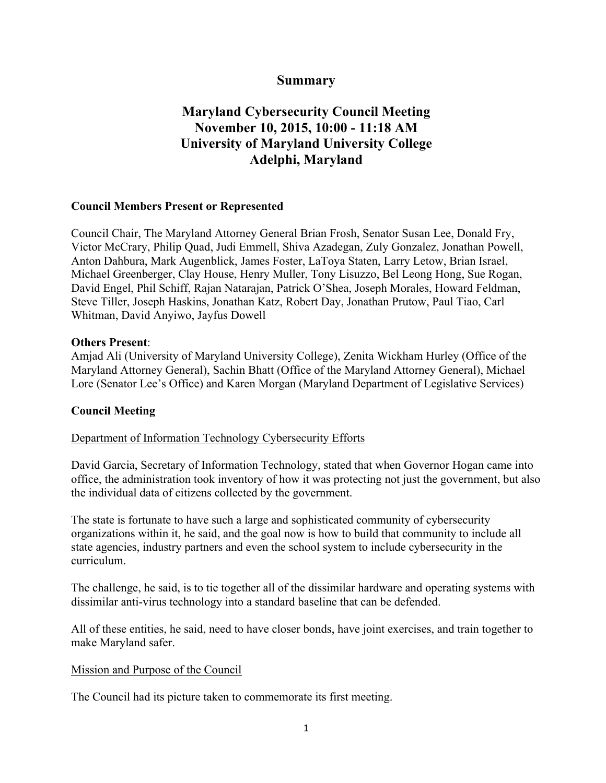## **Summary**

# **November 10, 2015, 10:00 - 11:18 AM University of Maryland University College Maryland Cybersecurity Council Meeting Adelphi, Maryland**

### **Council Members Present or Represented**

Council Chair, The Maryland Attorney General Brian Frosh, Senator Susan Lee, Donald Fry, Victor McCrary, Philip Quad, Judi Emmell, Shiva Azadegan, Zuly Gonzalez, Jonathan Powell, Anton Dahbura, Mark Augenblick, James Foster, LaToya Staten, Larry Letow, Brian Israel, Michael Greenberger, Clay House, Henry Muller, Tony Lisuzzo, Bel Leong Hong, Sue Rogan, David Engel, Phil Schiff, Rajan Natarajan, Patrick O'Shea, Joseph Morales, Howard Feldman, Steve Tiller, Joseph Haskins, Jonathan Katz, Robert Day, Jonathan Prutow, Paul Tiao, Carl Whitman, David Anyiwo, Jayfus Dowell

#### **Others Present**:

 Amjad Ali (University of Maryland University College), Zenita Wickham Hurley (Office of the Lore (Senator Lee's Office) and Karen Morgan (Maryland Department of Legislative Services) Maryland Attorney General), Sachin Bhatt (Office of the Maryland Attorney General), Michael

## **Council Meeting**

## Department of Information Technology Cybersecurity Efforts

David Garcia, Secretary of Information Technology, stated that when Governor Hogan came into office, the administration took inventory of how it was protecting not just the government, but also the individual data of citizens collected by the government.

The state is fortunate to have such a large and sophisticated community of cybersecurity organizations within it, he said, and the goal now is how to build that community to include all state agencies, industry partners and even the school system to include cybersecurity in the curriculum.

The challenge, he said, is to tie together all of the dissimilar hardware and operating systems with dissimilar anti-virus technology into a standard baseline that can be defended.

All of these entities, he said, need to have closer bonds, have joint exercises, and train together to make Maryland safer.

#### Mission and Purpose of the Council

The Council had its picture taken to commemorate its first meeting.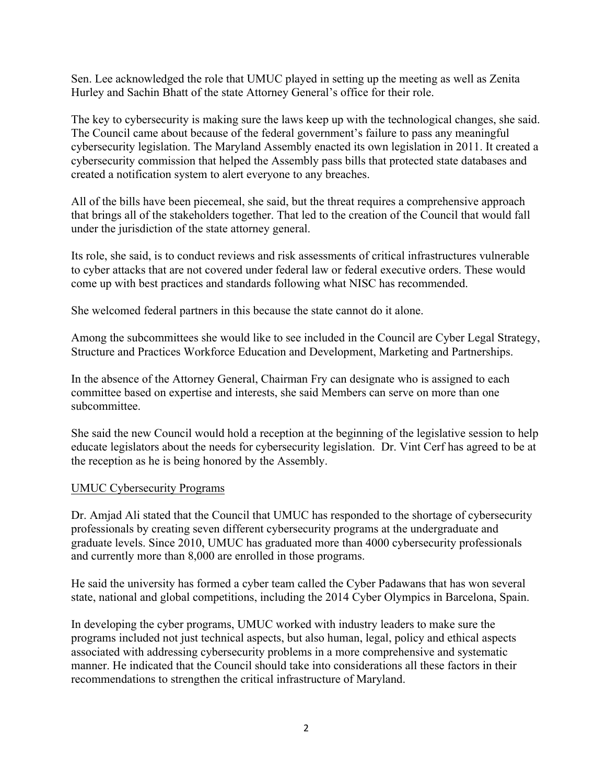Sen. Lee acknowledged the role that UMUC played in setting up the meeting as well as Zenita Hurley and Sachin Bhatt of the state Attorney General's office for their role.

The key to cybersecurity is making sure the laws keep up with the technological changes, she said. The Council came about because of the federal government's failure to pass any meaningful cybersecurity legislation. The Maryland Assembly enacted its own legislation in 2011. It created a cybersecurity commission that helped the Assembly pass bills that protected state databases and created a notification system to alert everyone to any breaches.

All of the bills have been piecemeal, she said, but the threat requires a comprehensive approach that brings all of the stakeholders together. That led to the creation of the Council that would fall under the jurisdiction of the state attorney general.

Its role, she said, is to conduct reviews and risk assessments of critical infrastructures vulnerable to cyber attacks that are not covered under federal law or federal executive orders. These would come up with best practices and standards following what NISC has recommended.

She welcomed federal partners in this because the state cannot do it alone.

Among the subcommittees she would like to see included in the Council are Cyber Legal Strategy, Structure and Practices Workforce Education and Development, Marketing and Partnerships.

In the absence of the Attorney General, Chairman Fry can designate who is assigned to each committee based on expertise and interests, she said Members can serve on more than one subcommittee.

 She said the new Council would hold a reception at the beginning of the legislative session to help educate legislators about the needs for cybersecurity legislation. Dr. Vint Cerf has agreed to be at the reception as he is being honored by the Assembly.

#### UMUC Cybersecurity Programs

 Dr. Amjad Ali stated that the Council that UMUC has responded to the shortage of cybersecurity professionals by creating seven different cybersecurity programs at the undergraduate and graduate levels. Since 2010, UMUC has graduated more than 4000 cybersecurity professionals and currently more than 8,000 are enrolled in those programs.

He said the university has formed a cyber team called the Cyber Padawans that has won several state, national and global competitions, including the 2014 Cyber Olympics in Barcelona, Spain.

In developing the cyber programs, UMUC worked with industry leaders to make sure the programs included not just technical aspects, but also human, legal, policy and ethical aspects associated with addressing cybersecurity problems in a more comprehensive and systematic manner. He indicated that the Council should take into considerations all these factors in their recommendations to strengthen the critical infrastructure of Maryland.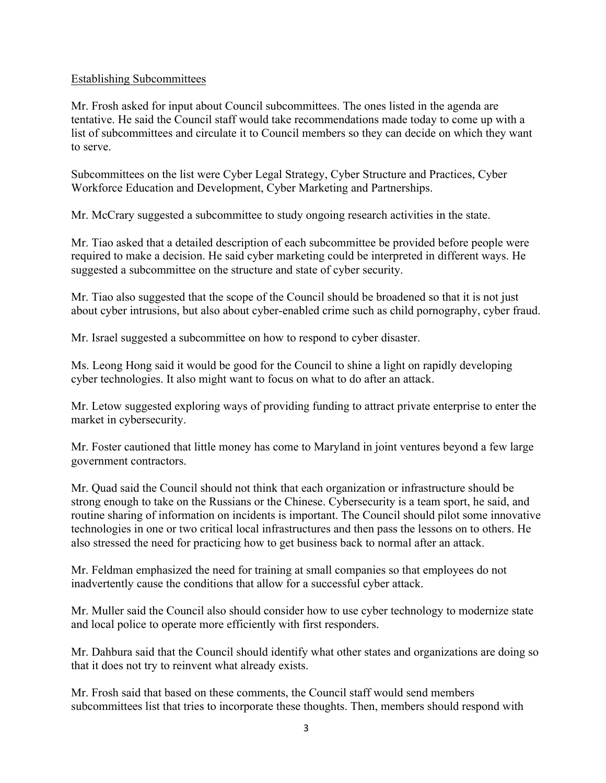### Establishing Subcommittees

 to serve. Mr. Frosh asked for input about Council subcommittees. The ones listed in the agenda are tentative. He said the Council staff would take recommendations made today to come up with a list of subcommittees and circulate it to Council members so they can decide on which they want

Subcommittees on the list were Cyber Legal Strategy, Cyber Structure and Practices, Cyber Workforce Education and Development, Cyber Marketing and Partnerships.

Mr. McCrary suggested a subcommittee to study ongoing research activities in the state.

 suggested a subcommittee on the structure and state of cyber security. Mr. Tiao asked that a detailed description of each subcommittee be provided before people were required to make a decision. He said cyber marketing could be interpreted in different ways. He

Mr. Tiao also suggested that the scope of the Council should be broadened so that it is not just about cyber intrusions, but also about cyber-enabled crime such as child pornography, cyber fraud.

Mr. Israel suggested a subcommittee on how to respond to cyber disaster.

Ms. Leong Hong said it would be good for the Council to shine a light on rapidly developing cyber technologies. It also might want to focus on what to do after an attack.

Mr. Letow suggested exploring ways of providing funding to attract private enterprise to enter the market in cybersecurity.

Mr. Foster cautioned that little money has come to Maryland in joint ventures beyond a few large government contractors.

Mr. Quad said the Council should not think that each organization or infrastructure should be strong enough to take on the Russians or the Chinese. Cybersecurity is a team sport, he said, and routine sharing of information on incidents is important. The Council should pilot some innovative technologies in one or two critical local infrastructures and then pass the lessons on to others. He also stressed the need for practicing how to get business back to normal after an attack.

Mr. Feldman emphasized the need for training at small companies so that employees do not inadvertently cause the conditions that allow for a successful cyber attack.

Mr. Muller said the Council also should consider how to use cyber technology to modernize state and local police to operate more efficiently with first responders.

Mr. Dahbura said that the Council should identify what other states and organizations are doing so that it does not try to reinvent what already exists.

Mr. Frosh said that based on these comments, the Council staff would send members subcommittees list that tries to incorporate these thoughts. Then, members should respond with